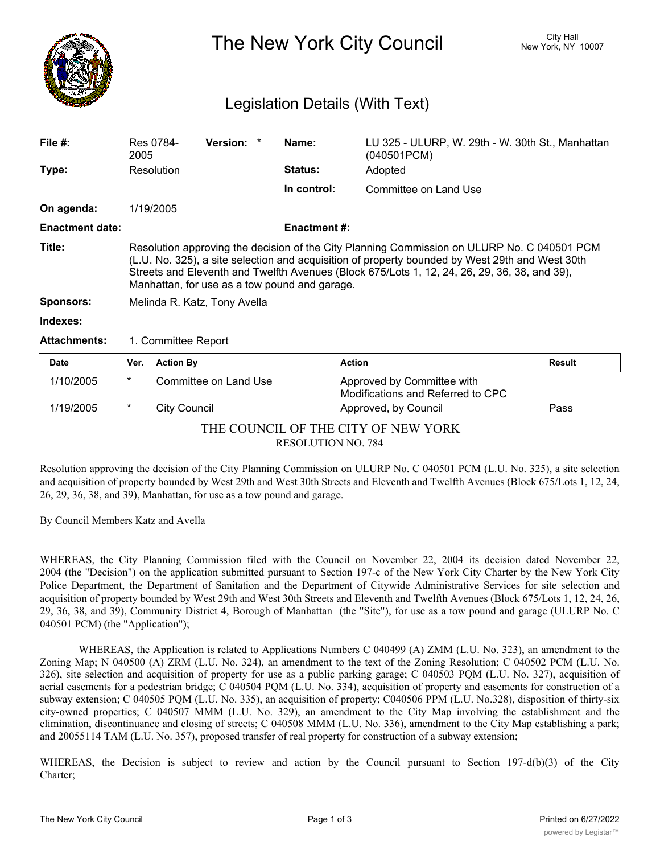

## The New York City Council New York, NY 10007

## Legislation Details (With Text)

| File $#$ :                          | 2005                                                                                                                                                                                                                                                                                                                                            | Res 0784-           | Version: *            |  | Name:               | LU 325 - ULURP, W. 29th - W. 30th St., Manhattan<br>(040501PCM) |               |
|-------------------------------------|-------------------------------------------------------------------------------------------------------------------------------------------------------------------------------------------------------------------------------------------------------------------------------------------------------------------------------------------------|---------------------|-----------------------|--|---------------------|-----------------------------------------------------------------|---------------|
| Type:                               |                                                                                                                                                                                                                                                                                                                                                 | Resolution          |                       |  | <b>Status:</b>      | Adopted                                                         |               |
|                                     |                                                                                                                                                                                                                                                                                                                                                 |                     |                       |  | In control:         | Committee on Land Use                                           |               |
| On agenda:                          |                                                                                                                                                                                                                                                                                                                                                 | 1/19/2005           |                       |  |                     |                                                                 |               |
| <b>Enactment date:</b>              |                                                                                                                                                                                                                                                                                                                                                 |                     |                       |  | <b>Enactment #:</b> |                                                                 |               |
| Title:                              | Resolution approving the decision of the City Planning Commission on ULURP No. C 040501 PCM<br>(L.U. No. 325), a site selection and acquisition of property bounded by West 29th and West 30th<br>Streets and Eleventh and Twelfth Avenues (Block 675/Lots 1, 12, 24, 26, 29, 36, 38, and 39),<br>Manhattan, for use as a tow pound and garage. |                     |                       |  |                     |                                                                 |               |
| <b>Sponsors:</b>                    | Melinda R. Katz, Tony Avella                                                                                                                                                                                                                                                                                                                    |                     |                       |  |                     |                                                                 |               |
| Indexes:                            |                                                                                                                                                                                                                                                                                                                                                 |                     |                       |  |                     |                                                                 |               |
| <b>Attachments:</b>                 | 1. Committee Report                                                                                                                                                                                                                                                                                                                             |                     |                       |  |                     |                                                                 |               |
| Date                                | Ver.                                                                                                                                                                                                                                                                                                                                            | <b>Action By</b>    |                       |  | <b>Action</b>       |                                                                 | <b>Result</b> |
| 1/10/2005                           | $^\star$                                                                                                                                                                                                                                                                                                                                        |                     | Committee on Land Use |  |                     | Approved by Committee with<br>Modifications and Referred to CPC |               |
| 1/19/2005                           | *                                                                                                                                                                                                                                                                                                                                               | <b>City Council</b> |                       |  |                     | Approved, by Council                                            | Pass          |
| THE COUNCIL OF THE CITY OF NEW YORK |                                                                                                                                                                                                                                                                                                                                                 |                     |                       |  |                     |                                                                 |               |

RESOLUTION NO. 784

Resolution approving the decision of the City Planning Commission on ULURP No. C 040501 PCM (L.U. No. 325), a site selection and acquisition of property bounded by West 29th and West 30th Streets and Eleventh and Twelfth Avenues (Block 675/Lots 1, 12, 24, 26, 29, 36, 38, and 39), Manhattan, for use as a tow pound and garage.

By Council Members Katz and Avella

WHEREAS, the City Planning Commission filed with the Council on November 22, 2004 its decision dated November 22, 2004 (the "Decision") on the application submitted pursuant to Section 197-c of the New York City Charter by the New York City Police Department, the Department of Sanitation and the Department of Citywide Administrative Services for site selection and acquisition of property bounded by West 29th and West 30th Streets and Eleventh and Twelfth Avenues (Block 675/Lots 1, 12, 24, 26, 29, 36, 38, and 39), Community District 4, Borough of Manhattan (the "Site"), for use as a tow pound and garage (ULURP No. C 040501 PCM) (the "Application");

WHEREAS, the Application is related to Applications Numbers C 040499 (A) ZMM (L.U. No. 323), an amendment to the Zoning Map; N 040500 (A) ZRM (L.U. No. 324), an amendment to the text of the Zoning Resolution; C 040502 PCM (L.U. No. 326), site selection and acquisition of property for use as a public parking garage; C 040503 PQM (L.U. No. 327), acquisition of aerial easements for a pedestrian bridge; C 040504 PQM (L.U. No. 334), acquisition of property and easements for construction of a subway extension; C 040505 PQM (L.U. No. 335), an acquisition of property; C040506 PPM (L.U. No.328), disposition of thirty-six city-owned properties; C 040507 MMM (L.U. No. 329), an amendment to the City Map involving the establishment and the elimination, discontinuance and closing of streets; C 040508 MMM (L.U. No. 336), amendment to the City Map establishing a park; and 20055114 TAM (L.U. No. 357), proposed transfer of real property for construction of a subway extension;

WHEREAS, the Decision is subject to review and action by the Council pursuant to Section 197-d(b)(3) of the City Charter;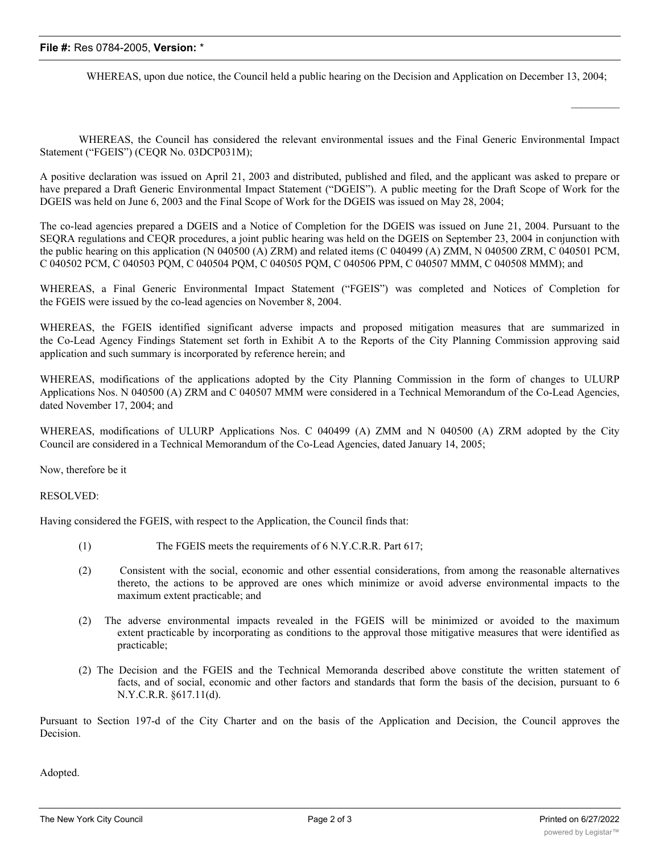## **File #:** Res 0784-2005, **Version:** \*

WHEREAS, upon due notice, the Council held a public hearing on the Decision and Application on December 13, 2004;

WHEREAS, the Council has considered the relevant environmental issues and the Final Generic Environmental Impact Statement ("FGEIS") (CEQR No. 03DCP031M);

A positive declaration was issued on April 21, 2003 and distributed, published and filed, and the applicant was asked to prepare or have prepared a Draft Generic Environmental Impact Statement ("DGEIS"). A public meeting for the Draft Scope of Work for the DGEIS was held on June 6, 2003 and the Final Scope of Work for the DGEIS was issued on May 28, 2004;

The co-lead agencies prepared a DGEIS and a Notice of Completion for the DGEIS was issued on June 21, 2004. Pursuant to the SEQRA regulations and CEQR procedures, a joint public hearing was held on the DGEIS on September 23, 2004 in conjunction with the public hearing on this application (N 040500 (A) ZRM) and related items (C 040499 (A) ZMM, N 040500 ZRM, C 040501 PCM, C 040502 PCM, C 040503 PQM, C 040504 PQM, C 040505 PQM, C 040506 PPM, C 040507 MMM, C 040508 MMM); and

WHEREAS, a Final Generic Environmental Impact Statement ("FGEIS") was completed and Notices of Completion for the FGEIS were issued by the co-lead agencies on November 8, 2004.

WHEREAS, the FGEIS identified significant adverse impacts and proposed mitigation measures that are summarized in the Co-Lead Agency Findings Statement set forth in Exhibit A to the Reports of the City Planning Commission approving said application and such summary is incorporated by reference herein; and

WHEREAS, modifications of the applications adopted by the City Planning Commission in the form of changes to ULURP Applications Nos. N 040500 (A) ZRM and C 040507 MMM were considered in a Technical Memorandum of the Co-Lead Agencies, dated November 17, 2004; and

WHEREAS, modifications of ULURP Applications Nos. C 040499 (A) ZMM and N 040500 (A) ZRM adopted by the City Council are considered in a Technical Memorandum of the Co-Lead Agencies, dated January 14, 2005;

Now, therefore be it

RESOLVED:

Having considered the FGEIS, with respect to the Application, the Council finds that:

- (1) The FGEIS meets the requirements of 6 N.Y.C.R.R. Part 617;
- (2) Consistent with the social, economic and other essential considerations, from among the reasonable alternatives thereto, the actions to be approved are ones which minimize or avoid adverse environmental impacts to the maximum extent practicable; and
- (2) The adverse environmental impacts revealed in the FGEIS will be minimized or avoided to the maximum extent practicable by incorporating as conditions to the approval those mitigative measures that were identified as practicable;
- (2) The Decision and the FGEIS and the Technical Memoranda described above constitute the written statement of facts, and of social, economic and other factors and standards that form the basis of the decision, pursuant to 6 N.Y.C.R.R. §617.11(d).

Pursuant to Section 197-d of the City Charter and on the basis of the Application and Decision, the Council approves the Decision.

Adopted.

 $\frac{1}{2}$